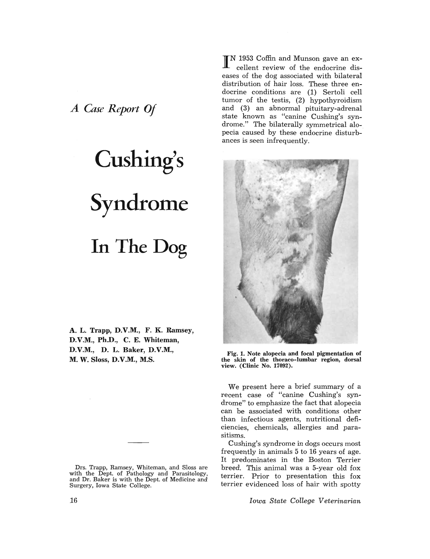*A Case Report Of* 

## Cushing's Syndrome **In The Dog**

A. L. Trapp, D.V.M., F. K. Ramsey, D.V.M., Ph.D., C. E. Whiteman, D.V.M., D. L. Baker, D.V.M., M. W. Sloss, D.V.M., M.S.

Drs. Trapp, Ramsey, Whiteman, and Sloss are with the Dept. of Pathology and Parasitology, and Dr. Baker is with the Dept. of Medicine and Surgery, Iowa State College.

IN 1953 Coffin and Munson gave an excellent review of the endocrine diseases of the dog associated with bilateral distribution of hair loss. These three endocrine conditions are (1) Sertoli cell tumor of the testis, (2) hypothyroidism and (3) an abnormal pituitary-adrenal state known as "canine Cushing's syndrome." The bilaterally symmetrical alopecia caused by these endocrine disturbances is seen infrequently.



Fig. 1. Note alopecia and focal pigmentation of the skin of the thoraco-lumbar region, dorsal view. (Clinic No. 17092).

We present here a brief summary of a recent case of "canine Cushing's syndrome" to emphasize the fact that alopecia can be associated with conditions other than infectious agents, nutritional deficiencies, chemicals, allergies and parasitisms.

Cushing's syndrome in dogs occurs most frequently in animals 5 to 16 years of age. It predominates in the Boston Terrier breed. This animal was a 5-year old fox terrier. Prior to presentation this fox terrier evidenced loss of hair with spotty

*Iowa State College Veterinarian*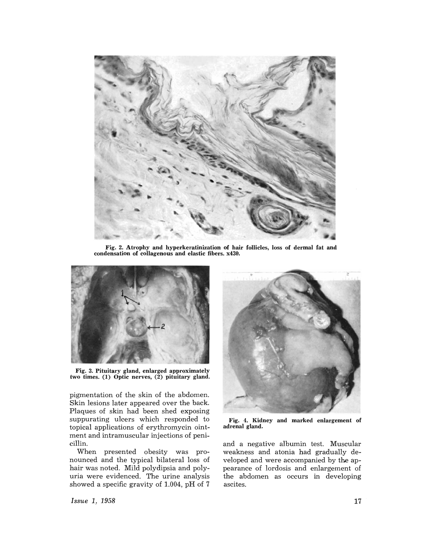

Fig. 2. Atrophy and hyperkeratinization of hair follicles, loss of dermal fat and condensation of collagenous and elastic fibers. x430.



Fig. 3. Pituitary gland, enlarged approximately two times. (1) Optic nerves, (2) pituitary gland.

pigmentation of the skin of the abdomen. Skin lesions later appeared over the back. Plaques of skin had been shed exposing suppurating ulcers which responded to topical applications of erythromycin ointment and intramuscular injections of penicillin.

When presented obesity was pronounced and the typical bilateral loss of hair was noted. Mild polydipsia and polyuria were evidenced. The urine analysis showed a specific gravity of 1.004, pH of 7



Fig. 4. Kidney and marked enlargement of adrenal gland.

and a negative albumin test. Muscular weakness and atonia had gradually developed and were accompanied by the appearance of lordosis and enlargement of the abdomen as occurs in developing ascites.

*Issue* 1, 1958